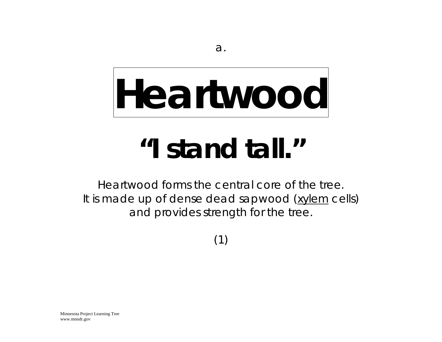### **Heartwood**

#### *"I stand tall."*

Heartwood forms the central core of the tree. It is made up of dense dead sapwood (xylem cells) and provides strength for the tree.

(1)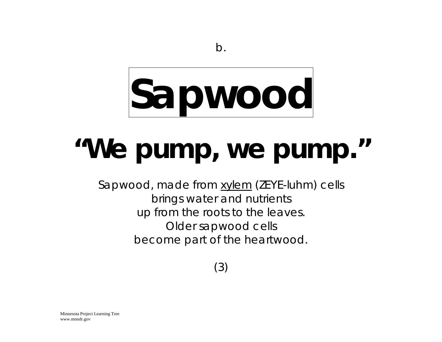# **Sapwood**

#### *"We pump, we pump."*

Sapwood, made from xylem (ZEYE-luhm) cells brings water and nutrients up from the roots to the leaves. Older sapwood cells become part of the heartwood.

(3)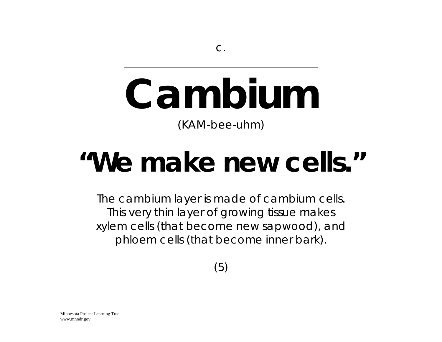# **Cambium**

(KAM-bee-uhm)

#### *"We make new cells."*

The cambium layer is made of cambium cells. This very thin layer of growing tissue makes xylem cells (that become new sapwood), and phloem cells (that become inner bark).

(5)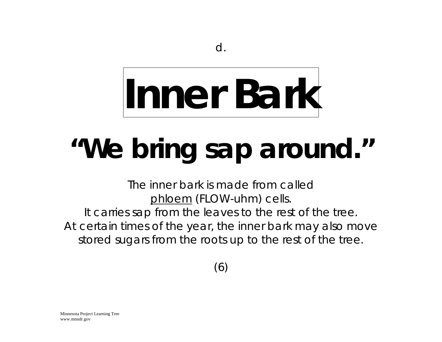# **Inner Bark**

### *"We bring sap around."*

The inner bark is made from called phloem (FLOW-uhm) cells. It carries sap from the leaves to the rest of the tree. At certain times of the year, the inner bark may also move stored sugars from the roots up to the rest of the tree.

(6)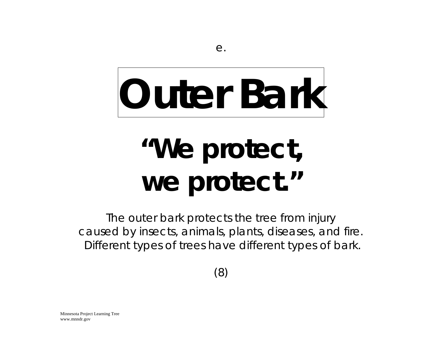### **Outer Bark**

#### *"We protect, we protect."*

The outer bark protects the tree from injury caused by insects, animals, plants, diseases, and fire. Different types of trees have different types of bark.

(8)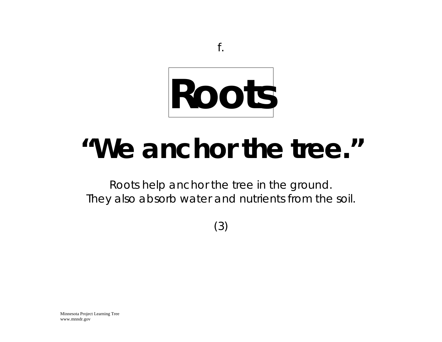

#### *"We anchor the tree."*

Roots help anchor the tree in the ground. They also absorb water and nutrients from the soil.

(3)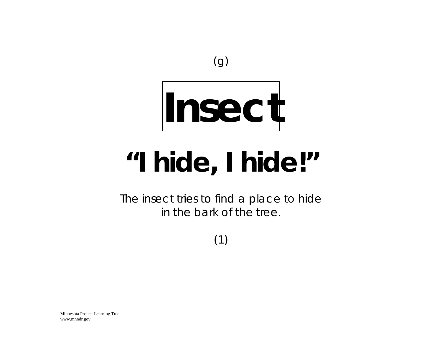

### **Insect**

#### *"I hide, I hide!"*

The insect tries to find a place to hide in the bark of the tree.

(1)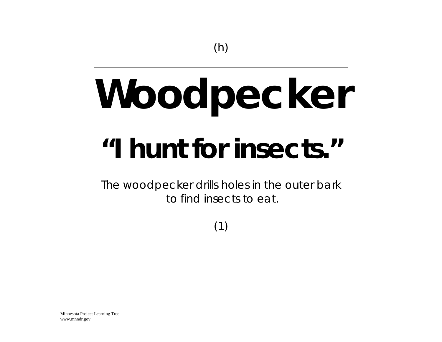# **Woodpecker**

#### *"I hunt for insects."*

The woodpecker drills holes in the outer bark to find insects to eat.

(1)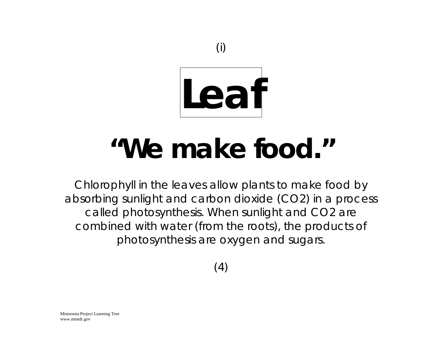

#### *"We make food."*

Chlorophyll in the leaves allow plants to make food by absorbing sunlight and carbon dioxide (CO2) in a process called photosynthesis. When sunlight and CO2 are combined with water (from the roots), the products of photosynthesis are oxygen and sugars.

(4)